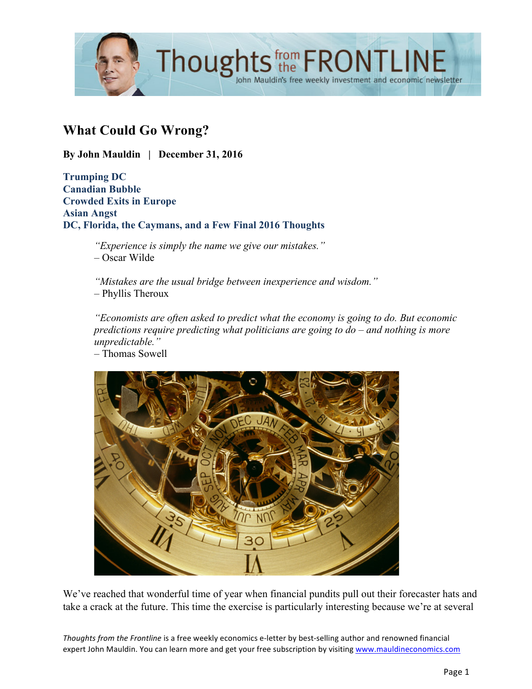

# **What Could Go Wrong?**

**By John Mauldin | December 31, 2016**

**Trumping DC Canadian Bubble Crowded Exits in Europe Asian Angst DC, Florida, the Caymans, and a Few Final 2016 Thoughts**

> *"Experience is simply the name we give our mistakes."* – Oscar Wilde

*"Mistakes are the usual bridge between inexperience and wisdom."* – Phyllis Theroux

*"Economists are often asked to predict what the economy is going to do. But economic predictions require predicting what politicians are going to do – and nothing is more unpredictable."* – Thomas Sowell



We've reached that wonderful time of year when financial pundits pull out their forecaster hats and take a crack at the future. This time the exercise is particularly interesting because we're at several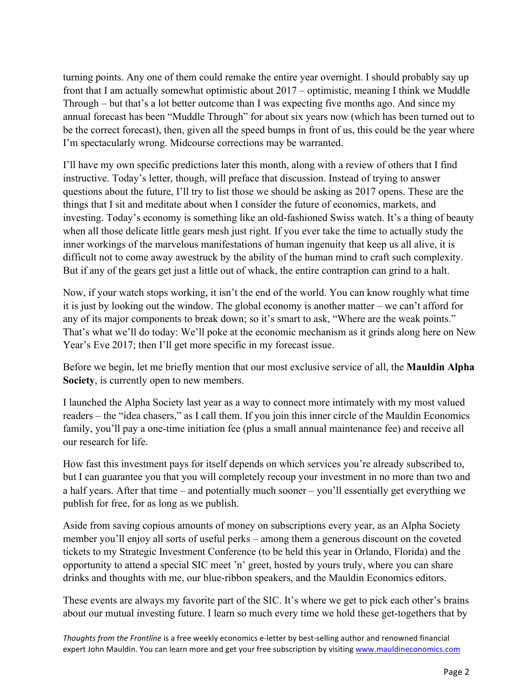turning points. Any one of them could remake the entire year overnight. I should probably say up front that I am actually somewhat optimistic about 2017 – optimistic, meaning I think we Muddle Through – but that's a lot better outcome than I was expecting five months ago. And since my annual forecast has been "Muddle Through" for about six years now (which has been turned out to be the correct forecast), then, given all the speed bumps in front of us, this could be the year where I'm spectacularly wrong. Midcourse corrections may be warranted.

I'll have my own specific predictions later this month, along with a review of others that I find instructive. Today's letter, though, will preface that discussion. Instead of trying to answer questions about the future, I'll try to list those we should be asking as 2017 opens. These are the things that I sit and meditate about when I consider the future of economics, markets, and investing. Today's economy is something like an old-fashioned Swiss watch. It's a thing of beauty when all those delicate little gears mesh just right. If you ever take the time to actually study the inner workings of the marvelous manifestations of human ingenuity that keep us all alive, it is difficult not to come away awestruck by the ability of the human mind to craft such complexity. But if any of the gears get just a little out of whack, the entire contraption can grind to a halt.

Now, if your watch stops working, it isn't the end of the world. You can know roughly what time it is just by looking out the window. The global economy is another matter – we can't afford for any of its major components to break down; so it's smart to ask, "Where are the weak points." That's what we'll do today: We'll poke at the economic mechanism as it grinds along here on New Year's Eve 2017; then I'll get more specific in my forecast issue.

Before we begin, let me briefly mention that our most exclusive service of all, the **Mauldin Alpha Society**, is currently open to new members.

I launched the Alpha Society last year as a way to connect more intimately with my most valued readers – the "idea chasers," as I call them. If you join this inner circle of the Mauldin Economics family, you'll pay a one-time initiation fee (plus a small annual maintenance fee) and receive all our research for life.

How fast this investment pays for itself depends on which services you're already subscribed to, but I can guarantee you that you will completely recoup your investment in no more than two and a half years. After that time – and potentially much sooner – you'll essentially get everything we publish for free, for as long as we publish.

Aside from saving copious amounts of money on subscriptions every year, as an Alpha Society member you'll enjoy all sorts of useful perks – among them a generous discount on the coveted tickets to my Strategic Investment Conference (to be held this year in Orlando, Florida) and the opportunity to attend a special SIC meet 'n' greet, hosted by yours truly, where you can share drinks and thoughts with me, our blue-ribbon speakers, and the Mauldin Economics editors.

These events are always my favorite part of the SIC. It's where we get to pick each other's brains about our mutual investing future. I learn so much every time we hold these get-togethers that by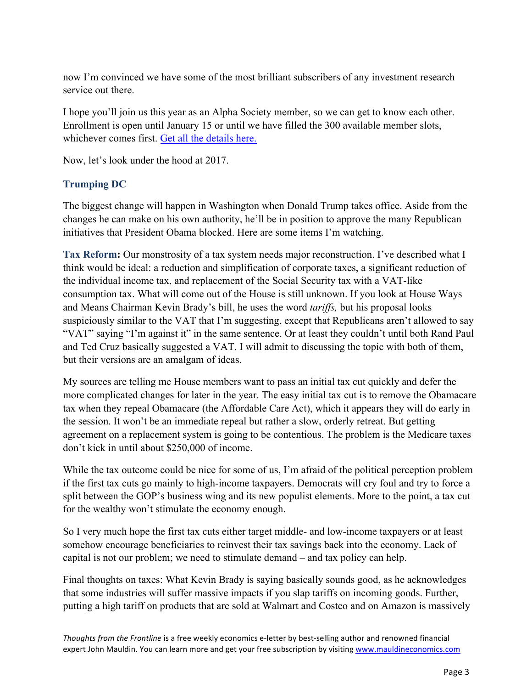now I'm convinced we have some of the most brilliant subscribers of any investment research service out there.

I hope you'll join us this year as an Alpha Society member, so we can get to know each other. Enrollment is open until January 15 or until we have filled the 300 available member slots, whichever comes first. [Get all the details here.](http://www.mauldineconomics.com/go/v34h8r/MEC)

Now, let's look under the hood at 2017.

## **Trumping DC**

The biggest change will happen in Washington when Donald Trump takes office. Aside from the changes he can make on his own authority, he'll be in position to approve the many Republican initiatives that President Obama blocked. Here are some items I'm watching.

**Tax Reform:** Our monstrosity of a tax system needs major reconstruction. I've described what I think would be ideal: a reduction and simplification of corporate taxes, a significant reduction of the individual income tax, and replacement of the Social Security tax with a VAT-like consumption tax. What will come out of the House is still unknown. If you look at House Ways and Means Chairman Kevin Brady's bill, he uses the word *tariffs,* but his proposal looks suspiciously similar to the VAT that I'm suggesting, except that Republicans aren't allowed to say "VAT" saying "I'm against it" in the same sentence. Or at least they couldn't until both Rand Paul and Ted Cruz basically suggested a VAT. I will admit to discussing the topic with both of them, but their versions are an amalgam of ideas.

My sources are telling me House members want to pass an initial tax cut quickly and defer the more complicated changes for later in the year. The easy initial tax cut is to remove the Obamacare tax when they repeal Obamacare (the Affordable Care Act), which it appears they will do early in the session. It won't be an immediate repeal but rather a slow, orderly retreat. But getting agreement on a replacement system is going to be contentious. The problem is the Medicare taxes don't kick in until about \$250,000 of income.

While the tax outcome could be nice for some of us, I'm afraid of the political perception problem if the first tax cuts go mainly to high-income taxpayers. Democrats will cry foul and try to force a split between the GOP's business wing and its new populist elements. More to the point, a tax cut for the wealthy won't stimulate the economy enough.

So I very much hope the first tax cuts either target middle- and low-income taxpayers or at least somehow encourage beneficiaries to reinvest their tax savings back into the economy. Lack of capital is not our problem; we need to stimulate demand – and tax policy can help.

Final thoughts on taxes: What Kevin Brady is saying basically sounds good, as he acknowledges that some industries will suffer massive impacts if you slap tariffs on incoming goods. Further, putting a high tariff on products that are sold at Walmart and Costco and on Amazon is massively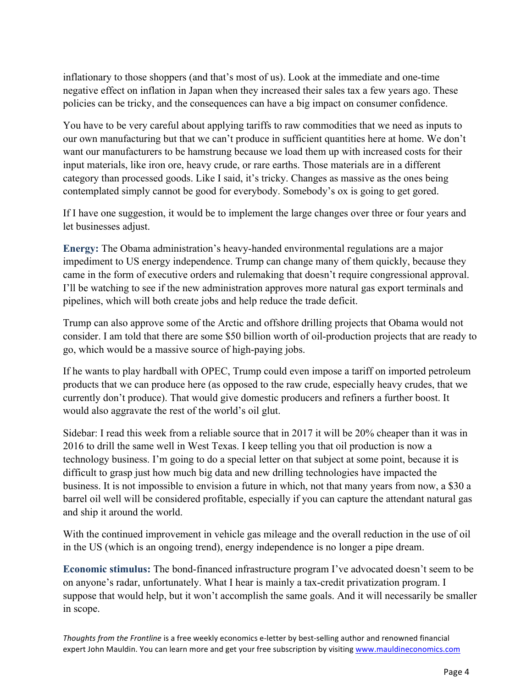inflationary to those shoppers (and that's most of us). Look at the immediate and one-time negative effect on inflation in Japan when they increased their sales tax a few years ago. These policies can be tricky, and the consequences can have a big impact on consumer confidence.

You have to be very careful about applying tariffs to raw commodities that we need as inputs to our own manufacturing but that we can't produce in sufficient quantities here at home. We don't want our manufacturers to be hamstrung because we load them up with increased costs for their input materials, like iron ore, heavy crude, or rare earths. Those materials are in a different category than processed goods. Like I said, it's tricky. Changes as massive as the ones being contemplated simply cannot be good for everybody. Somebody's ox is going to get gored.

If I have one suggestion, it would be to implement the large changes over three or four years and let businesses adjust.

**Energy:** The Obama administration's heavy-handed environmental regulations are a major impediment to US energy independence. Trump can change many of them quickly, because they came in the form of executive orders and rulemaking that doesn't require congressional approval. I'll be watching to see if the new administration approves more natural gas export terminals and pipelines, which will both create jobs and help reduce the trade deficit.

Trump can also approve some of the Arctic and offshore drilling projects that Obama would not consider. I am told that there are some \$50 billion worth of oil-production projects that are ready to go, which would be a massive source of high-paying jobs.

If he wants to play hardball with OPEC, Trump could even impose a tariff on imported petroleum products that we can produce here (as opposed to the raw crude, especially heavy crudes, that we currently don't produce). That would give domestic producers and refiners a further boost. It would also aggravate the rest of the world's oil glut.

Sidebar: I read this week from a reliable source that in 2017 it will be 20% cheaper than it was in 2016 to drill the same well in West Texas. I keep telling you that oil production is now a technology business. I'm going to do a special letter on that subject at some point, because it is difficult to grasp just how much big data and new drilling technologies have impacted the business. It is not impossible to envision a future in which, not that many years from now, a \$30 a barrel oil well will be considered profitable, especially if you can capture the attendant natural gas and ship it around the world.

With the continued improvement in vehicle gas mileage and the overall reduction in the use of oil in the US (which is an ongoing trend), energy independence is no longer a pipe dream.

**Economic stimulus:** The bond-financed infrastructure program I've advocated doesn't seem to be on anyone's radar, unfortunately. What I hear is mainly a tax-credit privatization program. I suppose that would help, but it won't accomplish the same goals. And it will necessarily be smaller in scope.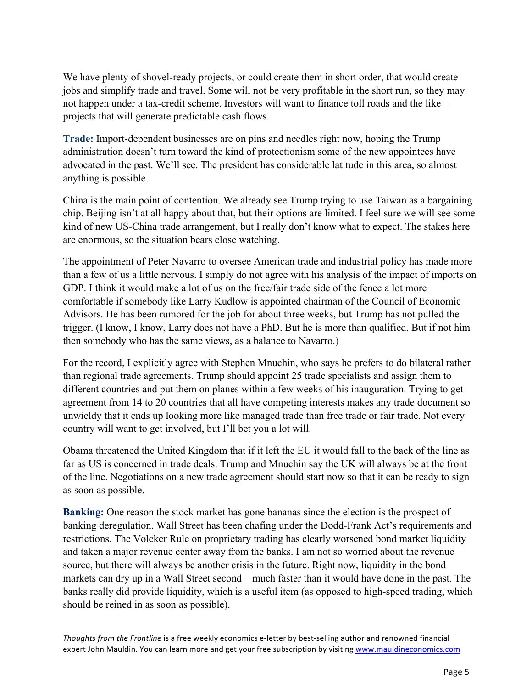We have plenty of shovel-ready projects, or could create them in short order, that would create jobs and simplify trade and travel. Some will not be very profitable in the short run, so they may not happen under a tax-credit scheme. Investors will want to finance toll roads and the like – projects that will generate predictable cash flows.

**Trade:** Import-dependent businesses are on pins and needles right now, hoping the Trump administration doesn't turn toward the kind of protectionism some of the new appointees have advocated in the past. We'll see. The president has considerable latitude in this area, so almost anything is possible.

China is the main point of contention. We already see Trump trying to use Taiwan as a bargaining chip. Beijing isn't at all happy about that, but their options are limited. I feel sure we will see some kind of new US-China trade arrangement, but I really don't know what to expect. The stakes here are enormous, so the situation bears close watching.

The appointment of Peter Navarro to oversee American trade and industrial policy has made more than a few of us a little nervous. I simply do not agree with his analysis of the impact of imports on GDP. I think it would make a lot of us on the free/fair trade side of the fence a lot more comfortable if somebody like Larry Kudlow is appointed chairman of the Council of Economic Advisors. He has been rumored for the job for about three weeks, but Trump has not pulled the trigger. (I know, I know, Larry does not have a PhD. But he is more than qualified. But if not him then somebody who has the same views, as a balance to Navarro.)

For the record, I explicitly agree with Stephen Mnuchin, who says he prefers to do bilateral rather than regional trade agreements. Trump should appoint 25 trade specialists and assign them to different countries and put them on planes within a few weeks of his inauguration. Trying to get agreement from 14 to 20 countries that all have competing interests makes any trade document so unwieldy that it ends up looking more like managed trade than free trade or fair trade. Not every country will want to get involved, but I'll bet you a lot will.

Obama threatened the United Kingdom that if it left the EU it would fall to the back of the line as far as US is concerned in trade deals. Trump and Mnuchin say the UK will always be at the front of the line. Negotiations on a new trade agreement should start now so that it can be ready to sign as soon as possible.

**Banking:** One reason the stock market has gone bananas since the election is the prospect of banking deregulation. Wall Street has been chafing under the Dodd-Frank Act's requirements and restrictions. The Volcker Rule on proprietary trading has clearly worsened bond market liquidity and taken a major revenue center away from the banks. I am not so worried about the revenue source, but there will always be another crisis in the future. Right now, liquidity in the bond markets can dry up in a Wall Street second – much faster than it would have done in the past. The banks really did provide liquidity, which is a useful item (as opposed to high-speed trading, which should be reined in as soon as possible).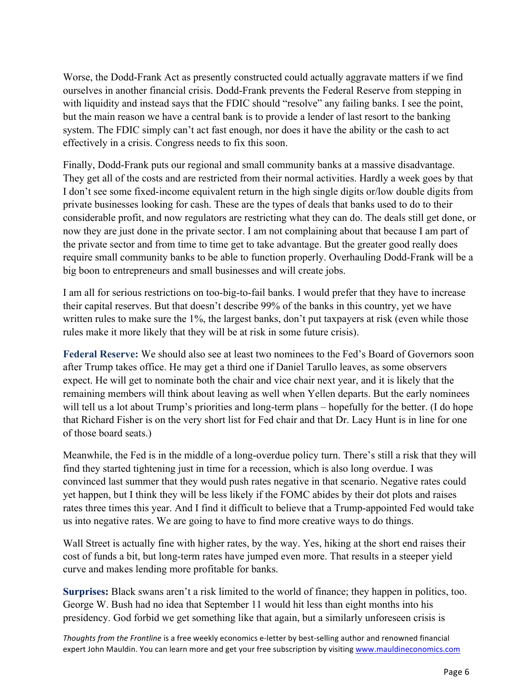Worse, the Dodd-Frank Act as presently constructed could actually aggravate matters if we find ourselves in another financial crisis. Dodd-Frank prevents the Federal Reserve from stepping in with liquidity and instead says that the FDIC should "resolve" any failing banks. I see the point, but the main reason we have a central bank is to provide a lender of last resort to the banking system. The FDIC simply can't act fast enough, nor does it have the ability or the cash to act effectively in a crisis. Congress needs to fix this soon.

Finally, Dodd-Frank puts our regional and small community banks at a massive disadvantage. They get all of the costs and are restricted from their normal activities. Hardly a week goes by that I don't see some fixed-income equivalent return in the high single digits or/low double digits from private businesses looking for cash. These are the types of deals that banks used to do to their considerable profit, and now regulators are restricting what they can do. The deals still get done, or now they are just done in the private sector. I am not complaining about that because I am part of the private sector and from time to time get to take advantage. But the greater good really does require small community banks to be able to function properly. Overhauling Dodd-Frank will be a big boon to entrepreneurs and small businesses and will create jobs.

I am all for serious restrictions on too-big-to-fail banks. I would prefer that they have to increase their capital reserves. But that doesn't describe 99% of the banks in this country, yet we have written rules to make sure the 1%, the largest banks, don't put taxpayers at risk (even while those rules make it more likely that they will be at risk in some future crisis).

**Federal Reserve:** We should also see at least two nominees to the Fed's Board of Governors soon after Trump takes office. He may get a third one if Daniel Tarullo leaves, as some observers expect. He will get to nominate both the chair and vice chair next year, and it is likely that the remaining members will think about leaving as well when Yellen departs. But the early nominees will tell us a lot about Trump's priorities and long-term plans – hopefully for the better. (I do hope that Richard Fisher is on the very short list for Fed chair and that Dr. Lacy Hunt is in line for one of those board seats.)

Meanwhile, the Fed is in the middle of a long-overdue policy turn. There's still a risk that they will find they started tightening just in time for a recession, which is also long overdue. I was convinced last summer that they would push rates negative in that scenario. Negative rates could yet happen, but I think they will be less likely if the FOMC abides by their dot plots and raises rates three times this year. And I find it difficult to believe that a Trump-appointed Fed would take us into negative rates. We are going to have to find more creative ways to do things.

Wall Street is actually fine with higher rates, by the way. Yes, hiking at the short end raises their cost of funds a bit, but long-term rates have jumped even more. That results in a steeper yield curve and makes lending more profitable for banks.

**Surprises:** Black swans aren't a risk limited to the world of finance; they happen in politics, too. George W. Bush had no idea that September 11 would hit less than eight months into his presidency. God forbid we get something like that again, but a similarly unforeseen crisis is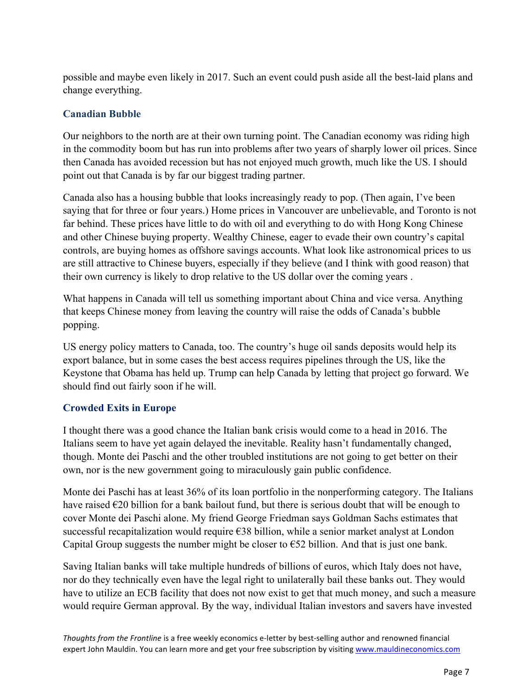possible and maybe even likely in 2017. Such an event could push aside all the best-laid plans and change everything.

## **Canadian Bubble**

Our neighbors to the north are at their own turning point. The Canadian economy was riding high in the commodity boom but has run into problems after two years of sharply lower oil prices. Since then Canada has avoided recession but has not enjoyed much growth, much like the US. I should point out that Canada is by far our biggest trading partner.

Canada also has a housing bubble that looks increasingly ready to pop. (Then again, I've been saying that for three or four years.) Home prices in Vancouver are unbelievable, and Toronto is not far behind. These prices have little to do with oil and everything to do with Hong Kong Chinese and other Chinese buying property. Wealthy Chinese, eager to evade their own country's capital controls, are buying homes as offshore savings accounts. What look like astronomical prices to us are still attractive to Chinese buyers, especially if they believe (and I think with good reason) that their own currency is likely to drop relative to the US dollar over the coming years .

What happens in Canada will tell us something important about China and vice versa. Anything that keeps Chinese money from leaving the country will raise the odds of Canada's bubble popping.

US energy policy matters to Canada, too. The country's huge oil sands deposits would help its export balance, but in some cases the best access requires pipelines through the US, like the Keystone that Obama has held up. Trump can help Canada by letting that project go forward. We should find out fairly soon if he will.

### **Crowded Exits in Europe**

I thought there was a good chance the Italian bank crisis would come to a head in 2016. The Italians seem to have yet again delayed the inevitable. Reality hasn't fundamentally changed, though. Monte dei Paschi and the other troubled institutions are not going to get better on their own, nor is the new government going to miraculously gain public confidence.

Monte dei Paschi has at least 36% of its loan portfolio in the nonperforming category. The Italians have raised  $\epsilon$ 20 billion for a bank bailout fund, but there is serious doubt that will be enough to cover Monte dei Paschi alone. My friend George Friedman says Goldman Sachs estimates that successful recapitalization would require €38 billion, while a senior market analyst at London Capital Group suggests the number might be closer to  $\epsilon$ 52 billion. And that is just one bank.

Saving Italian banks will take multiple hundreds of billions of euros, which Italy does not have, nor do they technically even have the legal right to unilaterally bail these banks out. They would have to utilize an ECB facility that does not now exist to get that much money, and such a measure would require German approval. By the way, individual Italian investors and savers have invested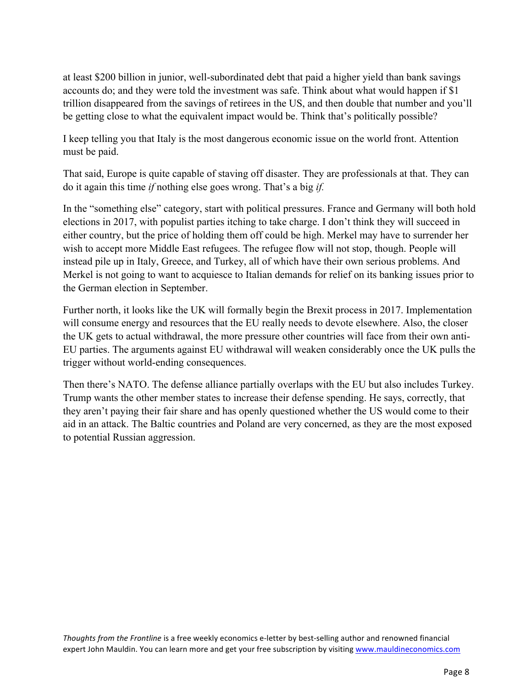at least \$200 billion in junior, well-subordinated debt that paid a higher yield than bank savings accounts do; and they were told the investment was safe. Think about what would happen if \$1 trillion disappeared from the savings of retirees in the US, and then double that number and you'll be getting close to what the equivalent impact would be. Think that's politically possible?

I keep telling you that Italy is the most dangerous economic issue on the world front. Attention must be paid.

That said, Europe is quite capable of staving off disaster. They are professionals at that. They can do it again this time *if* nothing else goes wrong. That's a big *if.*

In the "something else" category, start with political pressures. France and Germany will both hold elections in 2017, with populist parties itching to take charge. I don't think they will succeed in either country, but the price of holding them off could be high. Merkel may have to surrender her wish to accept more Middle East refugees. The refugee flow will not stop, though. People will instead pile up in Italy, Greece, and Turkey, all of which have their own serious problems. And Merkel is not going to want to acquiesce to Italian demands for relief on its banking issues prior to the German election in September.

Further north, it looks like the UK will formally begin the Brexit process in 2017. Implementation will consume energy and resources that the EU really needs to devote elsewhere. Also, the closer the UK gets to actual withdrawal, the more pressure other countries will face from their own anti-EU parties. The arguments against EU withdrawal will weaken considerably once the UK pulls the trigger without world-ending consequences.

Then there's NATO. The defense alliance partially overlaps with the EU but also includes Turkey. Trump wants the other member states to increase their defense spending. He says, correctly, that they aren't paying their fair share and has openly questioned whether the US would come to their aid in an attack. The Baltic countries and Poland are very concerned, as they are the most exposed to potential Russian aggression.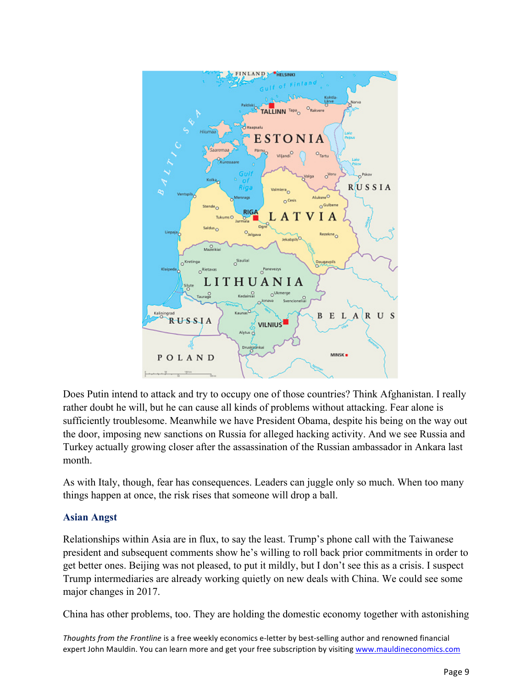

Does Putin intend to attack and try to occupy one of those countries? Think Afghanistan. I really rather doubt he will, but he can cause all kinds of problems without attacking. Fear alone is sufficiently troublesome. Meanwhile we have President Obama, despite his being on the way out the door, imposing new sanctions on Russia for alleged hacking activity. And we see Russia and Turkey actually growing closer after the assassination of the Russian ambassador in Ankara last month.

As with Italy, though, fear has consequences. Leaders can juggle only so much. When too many things happen at once, the risk rises that someone will drop a ball.

### **Asian Angst**

Relationships within Asia are in flux, to say the least. Trump's phone call with the Taiwanese president and subsequent comments show he's willing to roll back prior commitments in order to get better ones. Beijing was not pleased, to put it mildly, but I don't see this as a crisis. I suspect Trump intermediaries are already working quietly on new deals with China. We could see some major changes in 2017.

China has other problems, too. They are holding the domestic economy together with astonishing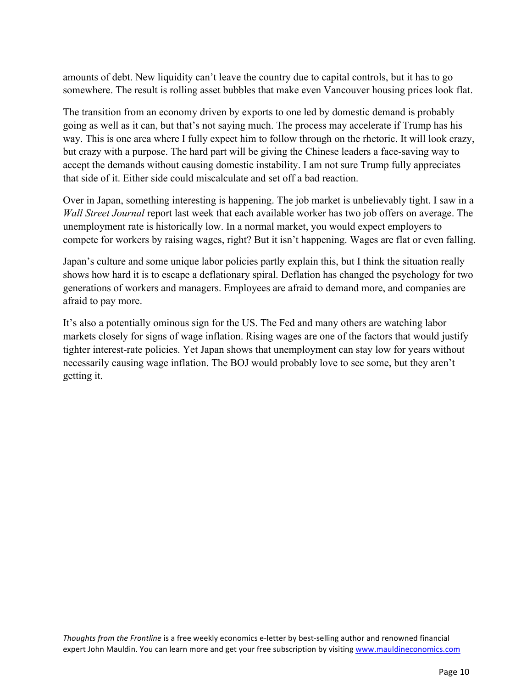amounts of debt. New liquidity can't leave the country due to capital controls, but it has to go somewhere. The result is rolling asset bubbles that make even Vancouver housing prices look flat.

The transition from an economy driven by exports to one led by domestic demand is probably going as well as it can, but that's not saying much. The process may accelerate if Trump has his way. This is one area where I fully expect him to follow through on the rhetoric. It will look crazy, but crazy with a purpose. The hard part will be giving the Chinese leaders a face-saving way to accept the demands without causing domestic instability. I am not sure Trump fully appreciates that side of it. Either side could miscalculate and set off a bad reaction.

Over in Japan, something interesting is happening. The job market is unbelievably tight. I saw in a *Wall Street Journal* report last week that each available worker has two job offers on average. The unemployment rate is historically low. In a normal market, you would expect employers to compete for workers by raising wages, right? But it isn't happening. Wages are flat or even falling.

Japan's culture and some unique labor policies partly explain this, but I think the situation really shows how hard it is to escape a deflationary spiral. Deflation has changed the psychology for two generations of workers and managers. Employees are afraid to demand more, and companies are afraid to pay more.

It's also a potentially ominous sign for the US. The Fed and many others are watching labor markets closely for signs of wage inflation. Rising wages are one of the factors that would justify tighter interest-rate policies. Yet Japan shows that unemployment can stay low for years without necessarily causing wage inflation. The BOJ would probably love to see some, but they aren't getting it.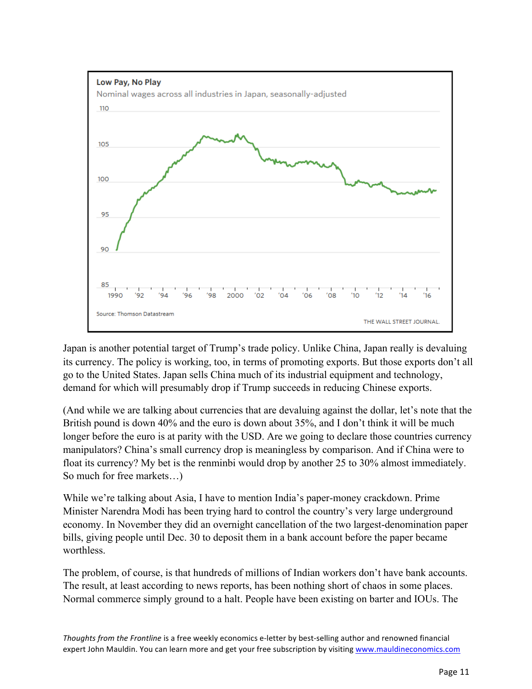

Japan is another potential target of Trump's trade policy. Unlike China, Japan really is devaluing its currency. The policy is working, too, in terms of promoting exports. But those exports don't all go to the United States. Japan sells China much of its industrial equipment and technology, demand for which will presumably drop if Trump succeeds in reducing Chinese exports.

(And while we are talking about currencies that are devaluing against the dollar, let's note that the British pound is down 40% and the euro is down about 35%, and I don't think it will be much longer before the euro is at parity with the USD. Are we going to declare those countries currency manipulators? China's small currency drop is meaningless by comparison. And if China were to float its currency? My bet is the renminbi would drop by another 25 to 30% almost immediately. So much for free markets…)

While we're talking about Asia, I have to mention India's paper-money crackdown. Prime Minister Narendra Modi has been trying hard to control the country's very large underground economy. In November they did an overnight cancellation of the two largest-denomination paper bills, giving people until Dec. 30 to deposit them in a bank account before the paper became worthless.

The problem, of course, is that hundreds of millions of Indian workers don't have bank accounts. The result, at least according to news reports, has been nothing short of chaos in some places. Normal commerce simply ground to a halt. People have been existing on barter and IOUs. The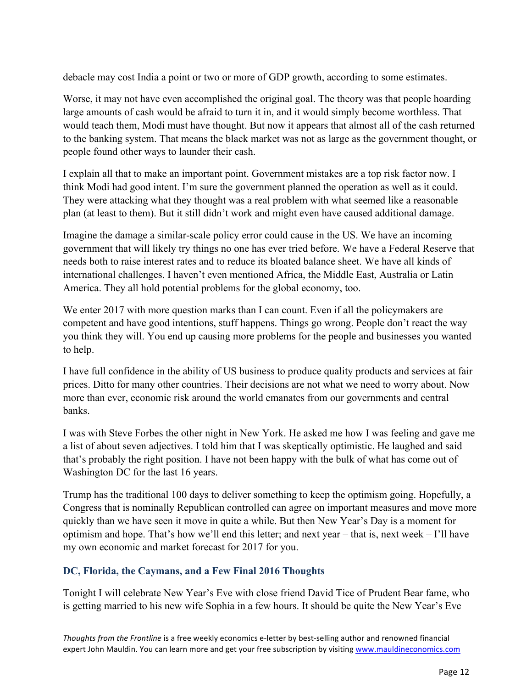debacle may cost India a point or two or more of GDP growth, according to some estimates.

Worse, it may not have even accomplished the original goal. The theory was that people hoarding large amounts of cash would be afraid to turn it in, and it would simply become worthless. That would teach them, Modi must have thought. But now it appears that almost all of the cash returned to the banking system. That means the black market was not as large as the government thought, or people found other ways to launder their cash.

I explain all that to make an important point. Government mistakes are a top risk factor now. I think Modi had good intent. I'm sure the government planned the operation as well as it could. They were attacking what they thought was a real problem with what seemed like a reasonable plan (at least to them). But it still didn't work and might even have caused additional damage.

Imagine the damage a similar-scale policy error could cause in the US. We have an incoming government that will likely try things no one has ever tried before. We have a Federal Reserve that needs both to raise interest rates and to reduce its bloated balance sheet. We have all kinds of international challenges. I haven't even mentioned Africa, the Middle East, Australia or Latin America. They all hold potential problems for the global economy, too.

We enter 2017 with more question marks than I can count. Even if all the policymakers are competent and have good intentions, stuff happens. Things go wrong. People don't react the way you think they will. You end up causing more problems for the people and businesses you wanted to help.

I have full confidence in the ability of US business to produce quality products and services at fair prices. Ditto for many other countries. Their decisions are not what we need to worry about. Now more than ever, economic risk around the world emanates from our governments and central banks.

I was with Steve Forbes the other night in New York. He asked me how I was feeling and gave me a list of about seven adjectives. I told him that I was skeptically optimistic. He laughed and said that's probably the right position. I have not been happy with the bulk of what has come out of Washington DC for the last 16 years.

Trump has the traditional 100 days to deliver something to keep the optimism going. Hopefully, a Congress that is nominally Republican controlled can agree on important measures and move more quickly than we have seen it move in quite a while. But then New Year's Day is a moment for optimism and hope. That's how we'll end this letter; and next year – that is, next week – I'll have my own economic and market forecast for 2017 for you.

## **DC, Florida, the Caymans, and a Few Final 2016 Thoughts**

Tonight I will celebrate New Year's Eve with close friend David Tice of Prudent Bear fame, who is getting married to his new wife Sophia in a few hours. It should be quite the New Year's Eve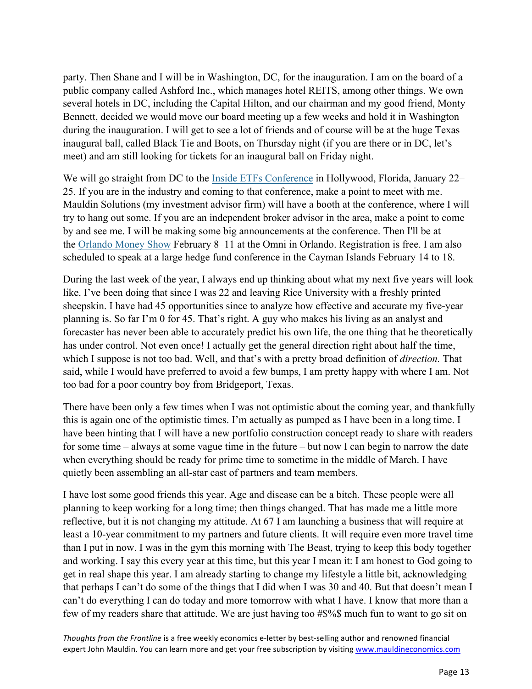party. Then Shane and I will be in Washington, DC, for the inauguration. I am on the board of a public company called Ashford Inc., which manages hotel REITS, among other things. We own several hotels in DC, including the Capital Hilton, and our chairman and my good friend, Monty Bennett, decided we would move our board meeting up a few weeks and hold it in Washington during the inauguration. I will get to see a lot of friends and of course will be at the huge Texas inaugural ball, called Black Tie and Boots, on Thursday night (if you are there or in DC, let's meet) and am still looking for tickets for an inaugural ball on Friday night.

We will go straight from DC to the [Inside ETFs Conference](http://www.etf.com/conferences.html) in Hollywood, Florida, January 22– 25. If you are in the industry and coming to that conference, make a point to meet with me. Mauldin Solutions (my investment advisor firm) will have a booth at the conference, where I will try to hang out some. If you are an independent broker advisor in the area, make a point to come by and see me. I will be making some big announcements at the conference. Then I'll be at the [Orlando Money Show](https://www.orlandomoneyshow.com/) February 8–11 at the Omni in Orlando. Registration is free. I am also scheduled to speak at a large hedge fund conference in the Cayman Islands February 14 to 18.

During the last week of the year, I always end up thinking about what my next five years will look like. I've been doing that since I was 22 and leaving Rice University with a freshly printed sheepskin. I have had 45 opportunities since to analyze how effective and accurate my five-year planning is. So far I'm 0 for 45. That's right. A guy who makes his living as an analyst and forecaster has never been able to accurately predict his own life, the one thing that he theoretically has under control. Not even once! I actually get the general direction right about half the time, which I suppose is not too bad. Well, and that's with a pretty broad definition of *direction.* That said, while I would have preferred to avoid a few bumps, I am pretty happy with where I am. Not too bad for a poor country boy from Bridgeport, Texas.

There have been only a few times when I was not optimistic about the coming year, and thankfully this is again one of the optimistic times. I'm actually as pumped as I have been in a long time. I have been hinting that I will have a new portfolio construction concept ready to share with readers for some time – always at some vague time in the future – but now I can begin to narrow the date when everything should be ready for prime time to sometime in the middle of March. I have quietly been assembling an all-star cast of partners and team members.

I have lost some good friends this year. Age and disease can be a bitch. These people were all planning to keep working for a long time; then things changed. That has made me a little more reflective, but it is not changing my attitude. At 67 I am launching a business that will require at least a 10-year commitment to my partners and future clients. It will require even more travel time than I put in now. I was in the gym this morning with The Beast, trying to keep this body together and working. I say this every year at this time, but this year I mean it: I am honest to God going to get in real shape this year. I am already starting to change my lifestyle a little bit, acknowledging that perhaps I can't do some of the things that I did when I was 30 and 40. But that doesn't mean I can't do everything I can do today and more tomorrow with what I have. I know that more than a few of my readers share that attitude. We are just having too #\$%\$ much fun to want to go sit on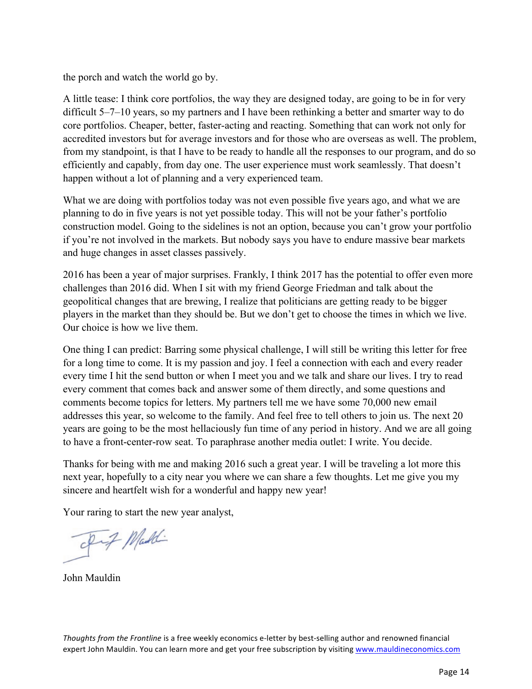the porch and watch the world go by.

A little tease: I think core portfolios, the way they are designed today, are going to be in for very difficult 5–7–10 years, so my partners and I have been rethinking a better and smarter way to do core portfolios. Cheaper, better, faster-acting and reacting. Something that can work not only for accredited investors but for average investors and for those who are overseas as well. The problem, from my standpoint, is that I have to be ready to handle all the responses to our program, and do so efficiently and capably, from day one. The user experience must work seamlessly. That doesn't happen without a lot of planning and a very experienced team.

What we are doing with portfolios today was not even possible five years ago, and what we are planning to do in five years is not yet possible today. This will not be your father's portfolio construction model. Going to the sidelines is not an option, because you can't grow your portfolio if you're not involved in the markets. But nobody says you have to endure massive bear markets and huge changes in asset classes passively.

2016 has been a year of major surprises. Frankly, I think 2017 has the potential to offer even more challenges than 2016 did. When I sit with my friend George Friedman and talk about the geopolitical changes that are brewing, I realize that politicians are getting ready to be bigger players in the market than they should be. But we don't get to choose the times in which we live. Our choice is how we live them.

One thing I can predict: Barring some physical challenge, I will still be writing this letter for free for a long time to come. It is my passion and joy. I feel a connection with each and every reader every time I hit the send button or when I meet you and we talk and share our lives. I try to read every comment that comes back and answer some of them directly, and some questions and comments become topics for letters. My partners tell me we have some 70,000 new email addresses this year, so welcome to the family. And feel free to tell others to join us. The next 20 years are going to be the most hellaciously fun time of any period in history. And we are all going to have a front-center-row seat. To paraphrase another media outlet: I write. You decide.

Thanks for being with me and making 2016 such a great year. I will be traveling a lot more this next year, hopefully to a city near you where we can share a few thoughts. Let me give you my sincere and heartfelt wish for a wonderful and happy new year!

Your raring to start the new year analyst,

Fif Maddi

John Mauldin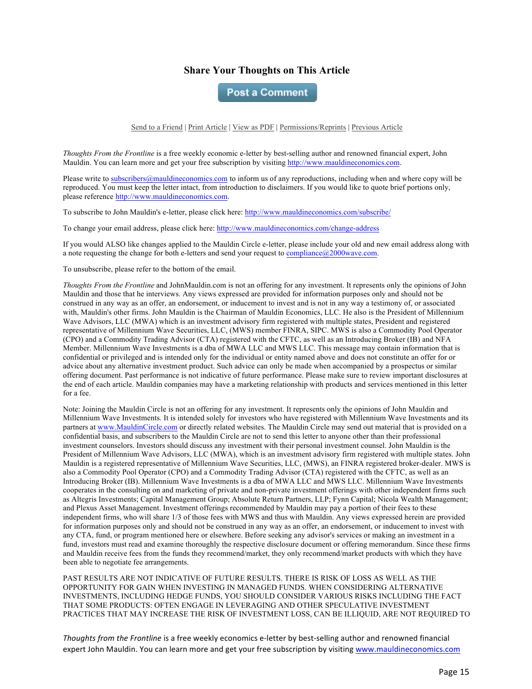#### **Share Your Thoughts on This Article**

**Post a Comment** 

Send to a Friend | Print Article | View as PDF | Permissions/Reprints | Previous Article

*Thoughts From the Frontline* is a free weekly economic e-letter by best-selling author and renowned financial expert, John Mauldin. You can learn more and get your free subscription by visiting http://www.mauldineconomics.com.

Please write to subscribers@mauldineconomics.com to inform us of any reproductions, including when and where copy will be reproduced. You must keep the letter intact, from introduction to disclaimers. If you would like to quote brief portions only, please reference http://www.mauldineconomics.com.

To subscribe to John Mauldin's e-letter, please click here: http://www.mauldineconomics.com/subscribe/

To change your email address, please click here: http://www.mauldineconomics.com/change-address

If you would ALSO like changes applied to the Mauldin Circle e-letter, please include your old and new email address along with a note requesting the change for both e-letters and send your request to compliance@2000wave.com.

To unsubscribe, please refer to the bottom of the email.

*Thoughts From the Frontline* and JohnMauldin.com is not an offering for any investment. It represents only the opinions of John Mauldin and those that he interviews. Any views expressed are provided for information purposes only and should not be construed in any way as an offer, an endorsement, or inducement to invest and is not in any way a testimony of, or associated with, Mauldin's other firms. John Mauldin is the Chairman of Mauldin Economics, LLC. He also is the President of Millennium Wave Advisors, LLC (MWA) which is an investment advisory firm registered with multiple states, President and registered representative of Millennium Wave Securities, LLC, (MWS) member FINRA, SIPC. MWS is also a Commodity Pool Operator (CPO) and a Commodity Trading Advisor (CTA) registered with the CFTC, as well as an Introducing Broker (IB) and NFA Member. Millennium Wave Investments is a dba of MWA LLC and MWS LLC. This message may contain information that is confidential or privileged and is intended only for the individual or entity named above and does not constitute an offer for or advice about any alternative investment product. Such advice can only be made when accompanied by a prospectus or similar offering document. Past performance is not indicative of future performance. Please make sure to review important disclosures at the end of each article. Mauldin companies may have a marketing relationship with products and services mentioned in this letter for a fee.

Note: Joining the Mauldin Circle is not an offering for any investment. It represents only the opinions of John Mauldin and Millennium Wave Investments. It is intended solely for investors who have registered with Millennium Wave Investments and its partners at www.MauldinCircle.com or directly related websites. The Mauldin Circle may send out material that is provided on a confidential basis, and subscribers to the Mauldin Circle are not to send this letter to anyone other than their professional investment counselors. Investors should discuss any investment with their personal investment counsel. John Mauldin is the President of Millennium Wave Advisors, LLC (MWA), which is an investment advisory firm registered with multiple states. John Mauldin is a registered representative of Millennium Wave Securities, LLC, (MWS), an FINRA registered broker-dealer. MWS is also a Commodity Pool Operator (CPO) and a Commodity Trading Advisor (CTA) registered with the CFTC, as well as an Introducing Broker (IB). Millennium Wave Investments is a dba of MWA LLC and MWS LLC. Millennium Wave Investments cooperates in the consulting on and marketing of private and non-private investment offerings with other independent firms such as Altegris Investments; Capital Management Group; Absolute Return Partners, LLP; Fynn Capital; Nicola Wealth Management; and Plexus Asset Management. Investment offerings recommended by Mauldin may pay a portion of their fees to these independent firms, who will share 1/3 of those fees with MWS and thus with Mauldin. Any views expressed herein are provided for information purposes only and should not be construed in any way as an offer, an endorsement, or inducement to invest with any CTA, fund, or program mentioned here or elsewhere. Before seeking any advisor's services or making an investment in a fund, investors must read and examine thoroughly the respective disclosure document or offering memorandum. Since these firms and Mauldin receive fees from the funds they recommend/market, they only recommend/market products with which they have been able to negotiate fee arrangements.

PAST RESULTS ARE NOT INDICATIVE OF FUTURE RESULTS. THERE IS RISK OF LOSS AS WELL AS THE OPPORTUNITY FOR GAIN WHEN INVESTING IN MANAGED FUNDS. WHEN CONSIDERING ALTERNATIVE INVESTMENTS, INCLUDING HEDGE FUNDS, YOU SHOULD CONSIDER VARIOUS RISKS INCLUDING THE FACT THAT SOME PRODUCTS: OFTEN ENGAGE IN LEVERAGING AND OTHER SPECULATIVE INVESTMENT PRACTICES THAT MAY INCREASE THE RISK OF INVESTMENT LOSS, CAN BE ILLIQUID, ARE NOT REQUIRED TO